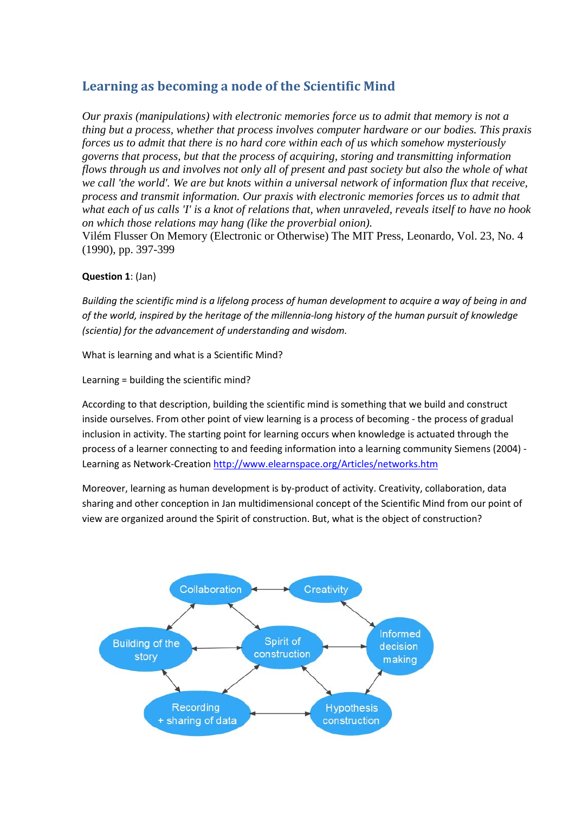# **Learning as becoming a node of the Scientific Mind**

*Our praxis (manipulations) with electronic memories force us to admit that memory is not a thing but a process, whether that process involves computer hardware or our bodies. This praxis forces us to admit that there is no hard core within each of us which somehow mysteriously governs that process, but that the process of acquiring, storing and transmitting information flows through us and involves not only all of present and past society but also the whole of what we call 'the world'. We are but knots within a universal network of information flux that receive, process and transmit information. Our praxis with electronic memories forces us to admit that what each of us calls 'I' is a knot of relations that, when unraveled, reveals itself to have no hook on which those relations may hang (like the proverbial onion).* Vilém Flusser On Memory (Electronic or Otherwise) The MIT Press, Leonardo, Vol. 23, No. 4 (1990), pp. 397-399

# **Question 1**: (Jan)

*Building the scientific mind is a lifelong process of human development to acquire a way of being in and of the world, inspired by the heritage of the millennia-long history of the human pursuit of knowledge (scientia) for the advancement of understanding and wisdom.*

What is learning and what is a Scientific Mind?

Learning = building the scientific mind?

According to that description, building the scientific mind is something that we build and construct inside ourselves. From other point of view learning is a process of becoming - the process of gradual inclusion in activity. The starting point for learning occurs when knowledge is actuated through the process of a learner connecting to and feeding information into a learning community Siemens (2004) - Learning as Network-Creation <http://www.elearnspace.org/Articles/networks.htm>

Moreover, learning as human development is by-product of activity. Creativity, collaboration, data sharing and other conception in Jan multidimensional concept of the Scientific Mind from our point of view are organized around the Spirit of construction. But, what is the object of construction?

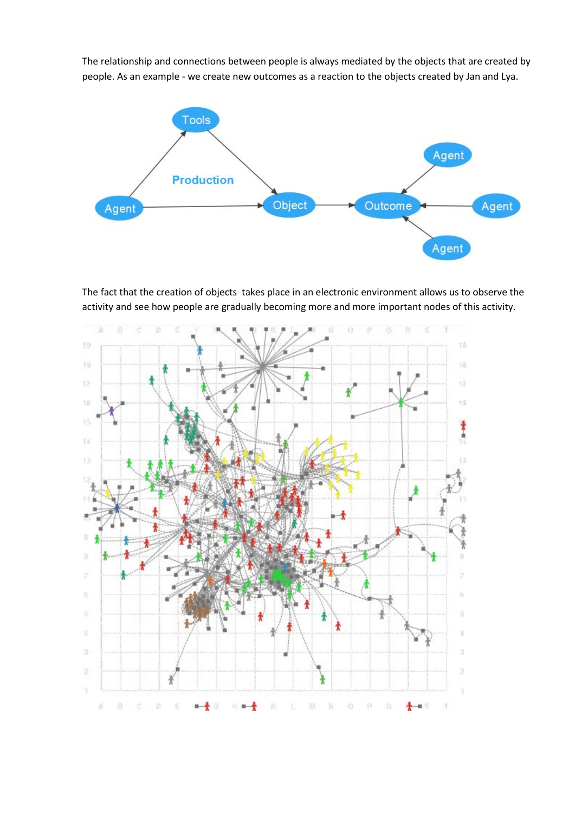The relationship and connections between people is always mediated by the objects that are created by people. As an example - we create new outcomes as a reaction to the objects created by Jan and Lya.



The fact that the creation of objects takes place in an electronic environment allows us to observe the activity and see how people are gradually becoming more and more important nodes of this activity.

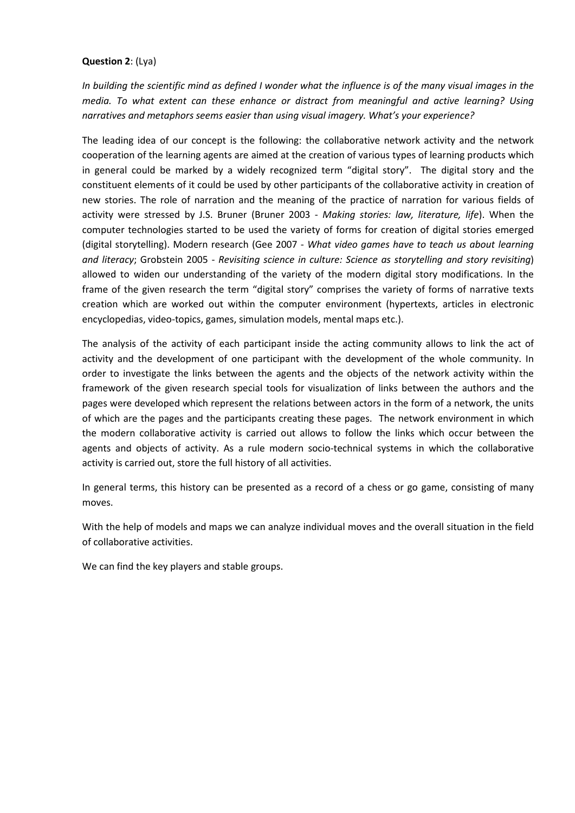### **Question 2**: (Lya)

*In building the scientific mind as defined I wonder what the influence is of the many visual images in the media. To what extent can these enhance or distract from meaningful and active learning? Using narratives and metaphors seems easier than using visual imagery. What's your experience?*

The leading idea of our concept is the following: the collaborative network activity and the network cooperation of the learning agents are aimed at the creation of various types of learning products which in general could be marked by a widely recognized term "digital story". The digital story and the constituent elements of it could be used by other participants of the collaborative activity in creation of new stories. The role of narration and the meaning of the practice of narration for various fields of activity were stressed by J.S. Bruner (Bruner 2003 - *Making stories: law, literature, life*). When the computer technologies started to be used the variety of forms for creation of digital stories emerged (digital storytelling). Modern research (Gee 2007 - *What video games have to teach us about learning and literacy*; Grobstein 2005 - *Revisiting science in culture: Science as storytelling and story revisiting*) allowed to widen our understanding of the variety of the modern digital story modifications. In the frame of the given research the term "digital story" comprises the variety of forms of narrative texts creation which are worked out within the computer environment (hypertexts, articles in electronic encyclopedias, video-topics, games, simulation models, mental maps etc.).

The analysis of the activity of each participant inside the acting community allows to link the act of activity and the development of one participant with the development of the whole community. In order to investigate the links between the agents and the objects of the network activity within the framework of the given research special tools for visualization of links between the authors and the pages were developed which represent the relations between actors in the form of a network, the units of which are the pages and the participants creating these pages. The network environment in which the modern collaborative activity is carried out allows to follow the links which occur between the agents and objects of activity. As a rule modern socio-technical systems in which the collaborative activity is carried out, store the full history of all activities.

In general terms, this history can be presented as a record of a chess or go game, consisting of many moves.

With the help of models and maps we can analyze individual moves and the overall situation in the field of collaborative activities.

We can find the key players and stable groups.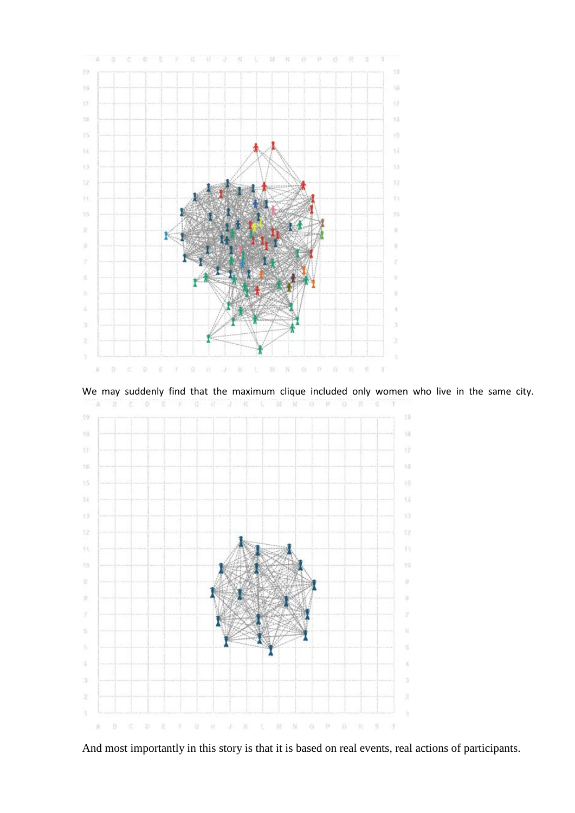

We may suddenly find that the maximum clique included only women who live in the same city.



And most importantly in this story is that it is based on real events, real actions of participants.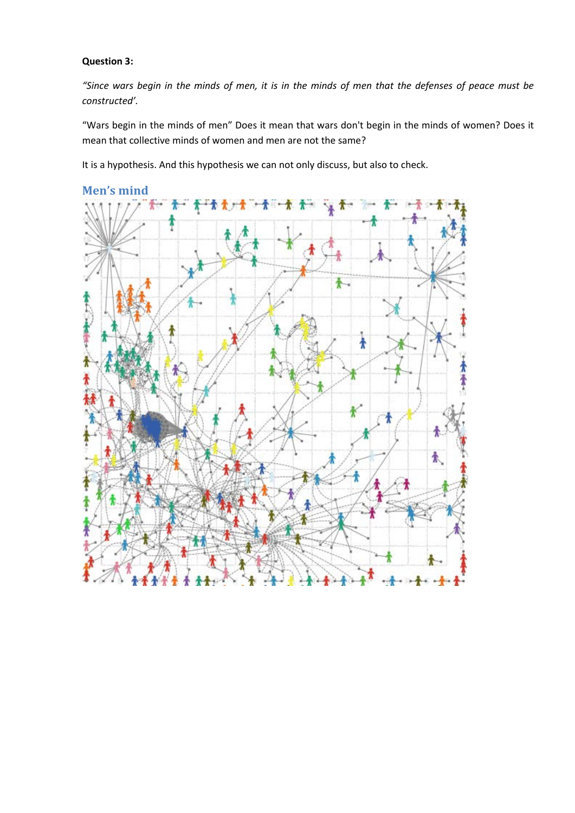## **Question 3:**

*"Since wars begin in the minds of men, it is in the minds of men that the defenses of peace must be constructed'.* 

"Wars begin in the minds of men" Does it mean that wars don't begin in the minds of women? Does it mean that collective minds of women and men are not the same?

It is a hypothesis. And this hypothesis we can not only discuss, but also to check.



## **Men's mind**